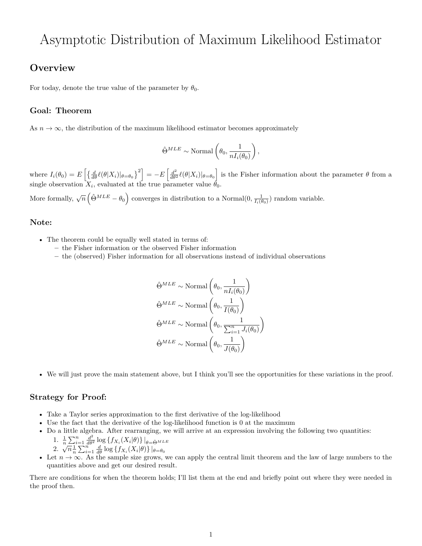# Asymptotic Distribution of Maximum Likelihood Estimator

# **Overview**

For today, denote the true value of the parameter by  $\theta_0$ .

## **Goal: Theorem**

As  $n \to \infty$ , the distribution of the maximum likelihood estimator becomes approximately

$$
\hat{\Theta}^{MLE} \sim \text{Normal}\left(\theta_0, \frac{1}{nI_i(\theta_0)}\right),\,
$$

where  $I_i(\theta_0) = E\left[\left\{\frac{d}{d\theta}\ell(\theta|X_i)|_{\theta=\theta_0}\right\}^2\right] = -E\left[\frac{d^2}{d\theta^2}\ell(\theta|X_i)|_{\theta=\theta_0}\right]$  is the Fisher information about the parameter  $\theta$  from a single observation  $X_i$ , evaluated at the true parameter value  $\theta_0$ .

More formally,  $\sqrt{n} \left( \hat{\Theta}^{MLE} - \theta_0 \right)$  converges in distribution to a Normal $(0, \frac{1}{I_i(\theta_0)})$  random variable.

#### **Note:**

- The theorem could be equally well stated in terms of:
	- **–** the Fisher information or the observed Fisher information
	- **–** the (observed) Fisher information for all observations instead of individual observations

$$
\hat{\Theta}^{MLE} \sim \text{Normal}\left(\theta_0, \frac{1}{nI_i(\theta_0)}\right)
$$

$$
\hat{\Theta}^{MLE} \sim \text{Normal}\left(\theta_0, \frac{1}{I(\theta_0)}\right)
$$

$$
\hat{\Theta}^{MLE} \sim \text{Normal}\left(\theta_0, \frac{1}{\sum_{i=1}^n J_i(\theta_0)}\right)
$$

$$
\hat{\Theta}^{MLE} \sim \text{Normal}\left(\theta_0, \frac{1}{J(\theta_0)}\right)
$$

• We will just prove the main statement above, but I think you'll see the opportunities for these variations in the proof.

#### **Strategy for Proof:**

- Take a Taylor series approximation to the first derivative of the log-likelihood
- Use the fact that the derivative of the log-likelihood function is 0 at the maximum
- Do a little algebra. After rearranging, we will arrive at an expression involving the following two quantities: 1.  $\frac{1}{n} \sum_{i=1}^{n} \frac{d^2}{d\theta^2} \log \{ f_{X_i}(X_i|\theta) \} |_{\theta=\hat{\Theta}^{MLE}}$ <br>2.  $\sqrt{n} \frac{1}{n} \sum_{i=1}^{n} \frac{d}{d\theta} \log \{ f_{X_i}(X_i|\theta) \} |_{\theta=\theta_0}$

2. 
$$
\sqrt{n}\frac{1}{n}\sum_{i=1}^{n}\frac{d}{d\theta}\log\left\{f_{X_i}(X_i|\theta)\right\}\big|_{\theta=\theta_0}
$$

• Let  $n \to \infty$ . As the sample size grows, we can apply the central limit theorem and the law of large numbers to the quantities above and get our desired result.

There are conditions for when the theorem holds; I'll list them at the end and briefly point out where they were needed in the proof then.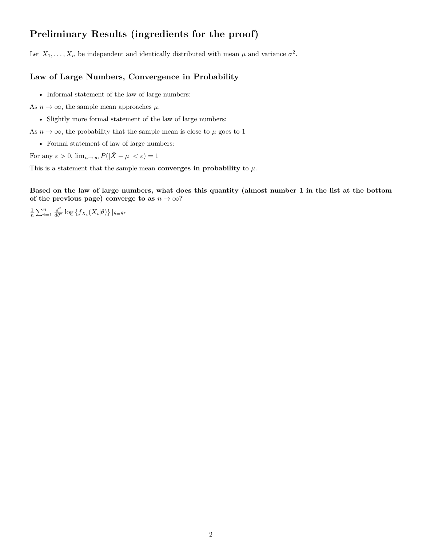# **Preliminary Results (ingredients for the proof)**

Let  $X_1, \ldots, X_n$  be independent and identically distributed with mean  $\mu$  and variance  $\sigma^2$ .

#### **Law of Large Numbers, Convergence in Probability**

• Informal statement of the law of large numbers:

As  $n \to \infty$ , the sample mean approaches  $\mu$ .

• Slightly more formal statement of the law of large numbers:

As  $n \to \infty$ , the probability that the sample mean is close to  $\mu$  goes to 1

• Formal statement of law of large numbers:

For any  $\varepsilon > 0$ ,  $\lim_{n \to \infty} P(|\bar{X} - \mu| < \varepsilon) = 1$ 

This is a statement that the sample mean **converges in probability** to  $\mu$ .

**Based on the law of large numbers, what does this quantity (almost number 1 in the list at the bottom** of the previous page) converge to as  $n \to \infty$ ?

 $\frac{1}{n} \sum_{i=1}^{n} \frac{d^2}{d\theta^2} \log \{ f_{X_i}(X_i|\theta) \} |_{\theta=\theta^*}$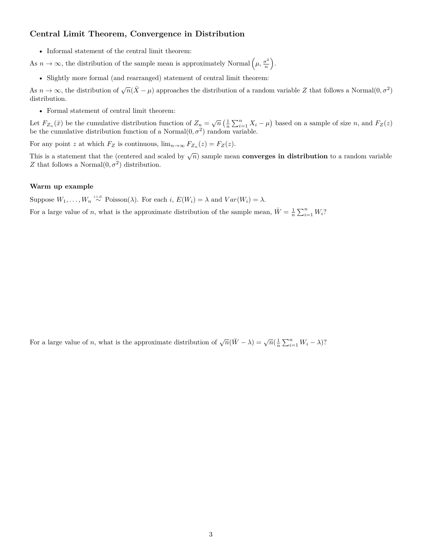### **Central Limit Theorem, Convergence in Distribution**

• Informal statement of the central limit theorem:

As  $n \to \infty$ , the distribution of the sample mean is approximately Normal  $(\mu, \frac{\sigma^2}{n})$  $\left(\frac{\sigma^2}{n}\right)$ .

• Slightly more formal (and rearranged) statement of central limit theorem:

As  $n \to \infty$ , the distribution of  $\sqrt{n}(\bar{X}-\mu)$  approaches the distribution of a random variable *Z* that follows a Normal $(0, \sigma^2)$ distribution.

• Formal statement of central limit theorem:

Let  $F_{Z_n}(\bar{x})$  be the cumulative distribution function of  $Z_n = \sqrt{n} \left( \frac{1}{n} \sum_{i=1}^n X_i - \mu \right)$  based on a sample of size n, and  $F_Z(z)$ be the cumulative distribution function of a Normal $(0, \sigma^2)$  random variable.

For any point *z* at which  $F_Z$  is continuous,  $\lim_{n\to\infty} F_{Z_n}(z) = F_Z(z)$ .

This is a statement that the (centered and scaled by  $\sqrt{n}$ ) sample mean **converges in distribution** to a random variable *Z* that follows a Normal $(0, \sigma^2)$  distribution.

### **Warm up example**

Suppose  $W_1, \ldots, W_n \stackrel{\text{i.i.d.}}{\sim} \text{Poisson}(\lambda)$ . For each *i*,  $E(W_i) = \lambda$  and  $Var(W_i) = \lambda$ .

For a large value of *n*, what is the approximate distribution of the sample mean,  $\bar{W} = \frac{1}{n} \sum_{i=1}^{n} W_i$ ?

For a large value of *n*, what is the approximate distribution of  $\sqrt{n}(\bar{W}-\lambda) = \sqrt{n}(\frac{1}{n}\sum_{i=1}^{n}W_i-\lambda)$ ?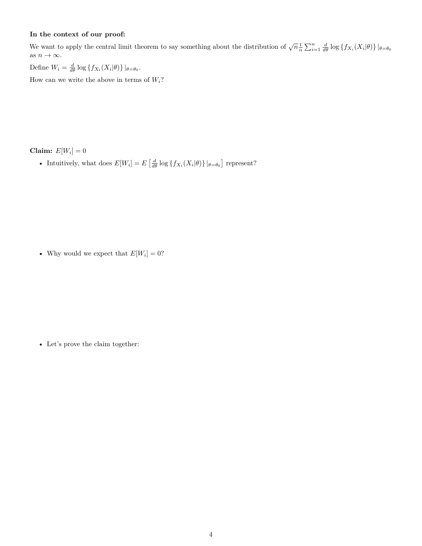#### **In the context of our proof:**

We want to apply the central limit theorem to say something about the distribution of  $\sqrt{n}\frac{1}{n}\sum_{i=1}^{n}\frac{d}{d\theta}\log\{f_{X_i}(X_i|\theta)\}\|_{\theta=\theta_0}$ as  $n\to\infty.$ 

Define  $W_i = \frac{d}{d\theta} \log \{ f_{X_i}(X_i | \theta) \} |_{\theta = \theta_0}$ .

How can we write the above in terms of  $W_i$ ?

**Claim:**  $E[W_i] = 0$ 

• Intuitively, what does  $E[W_i] = E\left[\frac{d}{d\theta} \log \{f_{X_i}(X_i|\theta)\} |_{\theta=\theta_0}\right]$  represent?

• Why would we expect that  $E[W_i] = 0$ ?

• Let's prove the claim together: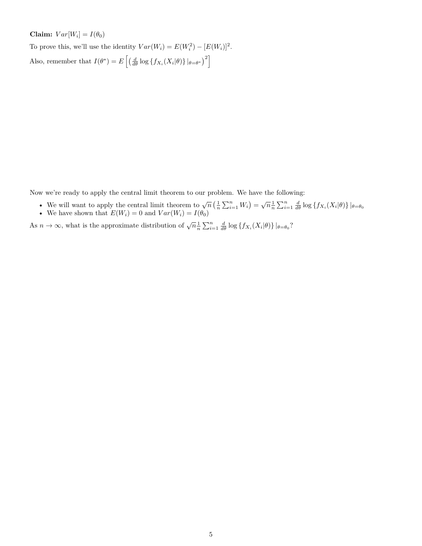**Claim:**  $Var[W_i] = I(\theta_0)$ 

To prove this, we'll use the identity  $Var(W_i) = E(W_i^2) - [E(W_i)]^2$ .

Also, remember that  $I(\theta^*) = E\left[\left(\frac{d}{d\theta} \log \{f_{X_i}(X_i|\theta)\} |_{\theta=\theta^*}\right)^2\right]$ 

Now we're ready to apply the central limit theorem to our problem. We have the following:

- We will want to apply the central limit theorem to  $\sqrt{n} \left( \frac{1}{n} \sum_{i=1}^n W_i \right) = \sqrt{n} \frac{1}{n} \sum_{i=1}^n \frac{d}{d\theta} \log \left\{ f_{X_i}(X_i | \theta) \right\} |_{\theta = \theta_0}$
- We have shown that  $E(W_i) = 0$  and  $Var(W_i) = I(\theta_0)$

As  $n \to \infty$ , what is the approximate distribution of  $\sqrt{n} \frac{1}{n} \sum_{i=1}^{n} \frac{d}{d\theta} \log \{ f_{X_i}(X_i|\theta) \} |_{\theta=\theta_0}$ ?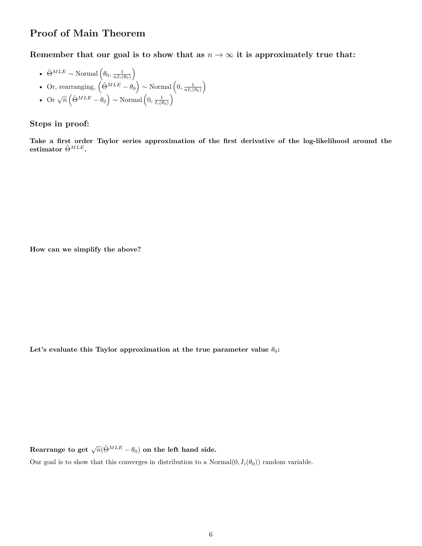# **Proof of Main Theorem**

**Remember that our goal is to show that as**  $n \to \infty$  it is approximately true that:

• 
$$
\hat{\Theta}^{MLE} \sim \text{Normal}\left(\theta_0, \frac{1}{nI_i(\theta_0)}\right)
$$

• Or, rearranging, 
$$
\left(\hat{\Theta}^{MLE} - \theta_0\right) \sim \text{Normal}\left(0, \frac{1}{nI_i(\theta_0)}\right)
$$

• Or 
$$
\sqrt{n}\left(\hat{\Theta}^{MLE} - \hat{\theta}_0\right) \sim \text{Normal}\left(0, \frac{1}{I_i(\theta_0)}\right)
$$

### **Steps in proof:**

**Take a first order Taylor series approximation of the first derivative of the log-likelihood around the estimator**  $\hat{\Theta}^{MLE}$ **.** 

**How can we simplify the above?**

Let's evaluate this Taylor approximation at the true parameter value  $\theta_0$ :

 $\textbf{R}$ earrange to get  $\sqrt{n}(\hat{\Theta}^{MLE} - \theta_0)$  on the left hand side.

Our goal is to show that this converges in distribution to a Normal $(0, I_i(\theta_0))$  random variable.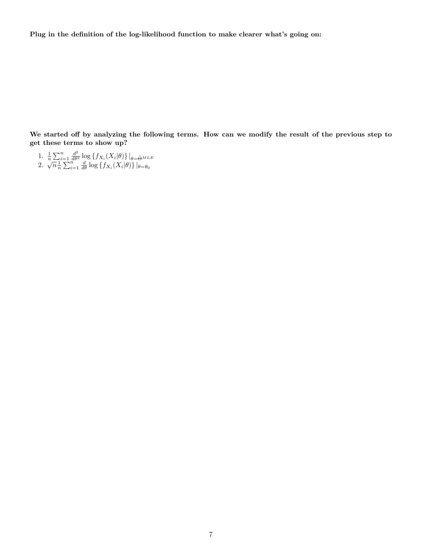**Plug in the definition of the log-likelihood function to make clearer what's going on:**

**We started off by analyzing the following terms. How can we modify the result of the previous step to get these terms to show up?**

- 1.  $\frac{1}{n}\sum_{i=1}^n \frac{d^2}{d\theta^2} \log \left\{ f_{X_i}(X_i|\theta) \right\} |_{\theta=\hat{\Theta}^{MLE}}$ <br>2.  $\sqrt{n}\frac{1}{n}\sum_{i=1}^n \frac{d}{d\theta} \log \left\{ f_{X_i}(X_i|\theta) \right\} |_{\theta=\theta_0}$
-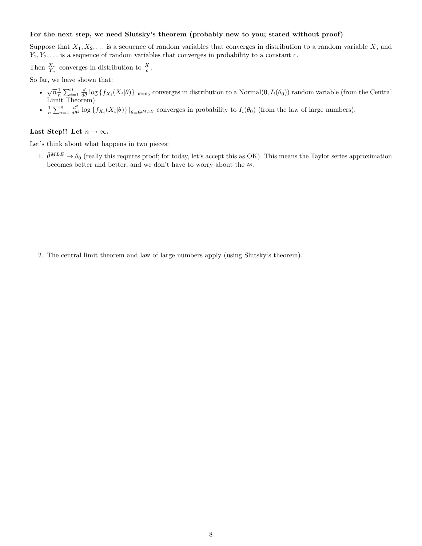#### **For the next step, we need Slutsky's theorem (probably new to you; stated without proof)**

Suppose that  $X_1, X_2, \ldots$  is a sequence of random variables that converges in distribution to a random variable *X*, and *Y*1*, Y*2*, . . .* is a sequence of random variables that converges in probability to a constant *c*.

Then  $\frac{X_n}{Y_n}$  converges in distribution to  $\frac{X}{c}$ .

So far, we have shown that:

- $\sqrt{n}\frac{1}{n}\sum_{i=1}^n \frac{d}{d\theta} \log \{f_{X_i}(X_i|\theta)\}\big|_{\theta=\theta_0}$  converges in distribution to a Normal $(0, I_i(\theta_0))$  random variable (from the Central Limit Theorem).
- $\frac{1}{n}\sum_{i=1}^n \frac{d^2}{d\theta^2} \log \{f_{X_i}(X_i|\theta)\}\Big|_{\theta=\hat{\Theta}^{MLE}}$  converges in probability to  $I_i(\theta_0)$  (from the law of large numbers).

#### Last Step!! Let  $n \to \infty$ .

Let's think about what happens in two pieces:

1.  $\hat{\theta}^{MLE} \rightarrow \theta_0$  (really this requires proof; for today, let's accept this as OK). This means the Taylor series approximation becomes better and better, and we don't have to worry about the  $\approx$ .

2. The central limit theorem and law of large numbers apply (using Slutsky's theorem).